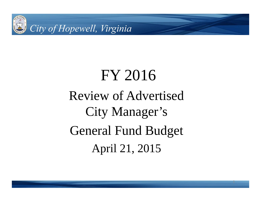

# FY 2016 Review of Advertised City Manager's General Fund Budget April 21, 2015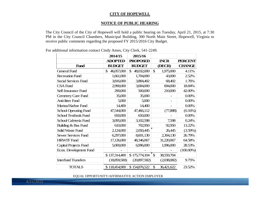### **CITY OF HOPEWELL**

#### **NOTICE OF PUBLIC HEARING**

The City Council of the City of Hopewell will hold a public hearing on Tuesday, April 21, 2015, at 7:30 PM in the City Council Chambers, Municipal Building, 300 North Main Street, Hopewell, Virginia to receive public comments regarding the proposed FY 2015/2016 City Budget.

|                              | 2014/15          | 2015/16                    |                  |                |
|------------------------------|------------------|----------------------------|------------------|----------------|
|                              | <b>ADOPTED</b>   | <b>PROPOSED</b>            | <b>INCR</b>      | <b>PERCENT</b> |
| <b>Fund</b>                  | <b>BUDGET</b>    | <b>BUDGET</b>              | (DECR)           | <b>CHANGE</b>  |
| <b>General Fund</b>          | 46,057,000<br>\$ | $\mathbb{S}$<br>48,032,000 | \$<br>1,975,000  | 4.11%          |
| <b>Recreation Fund</b>       | 1,661,000        | 1,704,000                  | 43,000           | 2.52%          |
| Social Services Fund         | 3,816,000        | 3,884,402                  | 68,402           | 1.76%          |
| <b>CSA Fund</b>              | 2,990,000        | 3,684,000                  | 694,000          | 18.84%         |
| Self-Insurance Fund          | 290,000          | 500,000                    | 210,000          | 42.00%         |
| Cemetery Care Fund           | 35,000           | 35,000                     |                  | 0.00%          |
| <b>Anti-litter Fund</b>      | 5,000            | 5,000                      |                  | 0.00%          |
| Marina/Harbor Fund           | 14,400           | 14,400                     |                  | 0.00%          |
| School Operating Fund        | 47,544,000       | 47,466,112                 | (77,888)         | (0.16%)        |
| School Textbook Fund         | 650,000          | 650,000                    |                  | 0.00%          |
| School Cafeteria Fund        | 3,095,000        | 3,102,598                  | 7,598            | 0.24%          |
| Building & Bus Fund          | 610,000          | 702,950                    | 92,950           | 13.22%         |
| Solid Waste Fund             | 2,124,000        | 2,050,445                  | 26,445           | (3.59%)        |
| <b>Sewer Services Fund</b>   | 6,297,000        | 8,601,130                  | 2,304,130        | 26.79%         |
| <b>HRWIF Fund</b>            | 17,126,000       | 48,346,067                 | 31,220,067       | 64.58%         |
| <b>Capital Projects Fund</b> | 5,000,000        | 6,996,000                  | 1,996,000        | 28.53%         |
| Econ. Development Fund       |                  |                            |                  | $(100.00\%)$   |
|                              | \$137,314,400    | \$175,774,104              | \$<br>38,559,704 |                |
| <b>Interfund Transfers</b>   | (18,859,500)     | (20,897,582)               | (2,038,082)      | 9.75%          |
| <b>TOTALS</b>                | \$118,454,900    | \$154,876,522              | \$<br>36,421,622 | 23.52%         |

For additional information contact Cindy Ames, City Clerk, 541-2249.

EQUAL OPPORTUNITY/AFFIRMATIVE ACTION EMPLOYER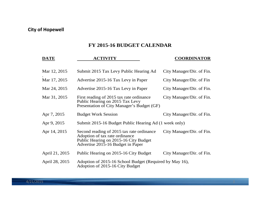## **FY 2015-16 BUDGET CALENDAR**

| <b>DATE</b>    | <b>ACTIVITY</b>                                                                                                                                           | <b>COORDINATOR</b>        |
|----------------|-----------------------------------------------------------------------------------------------------------------------------------------------------------|---------------------------|
| Mar 12, 2015   | Submit 2015 Tax Levy Public Hearing Ad                                                                                                                    | City Manager/Dir. of Fin. |
| Mar 17, 2015   | Advertise 2015-16 Tax Levy in Paper                                                                                                                       | City Manager/Dir. of Fin  |
| Mar 24, 2015   | Advertise 2015-16 Tax Levy in Paper                                                                                                                       | City Manager/Dir. of Fin. |
| Mar 31, 2015   | First reading of 2015 tax rate ordinance<br>Public Hearing on 2015 Tax Levy<br>Presentation of City Manager's Budget (GF)                                 | City Manager/Dir. of Fin. |
| Apr 7, 2015    | <b>Budget Work Session</b>                                                                                                                                | City Manager/Dir. of Fin. |
| Apr 9, 2015    | Submit 2015-16 Budget Public Hearing Ad (1 week only)                                                                                                     |                           |
| Apr 14, 2015   | Second reading of 2015 tax rate ordinance<br>Adoption of tax rate ordinance<br>Public Hearing on 2015-16 City Budget<br>Advertise 2015-16 Budget in Paper | City Manager/Dir. of Fin. |
| April 21, 2015 | Public Hearing on 2015-16 City Budget                                                                                                                     | City Manager/Dir. of Fin. |
| April 28, 2015 | Adoption of 2015-16 School Budget (Required by May 16),<br>Adoption of 2015-16 City Budget                                                                |                           |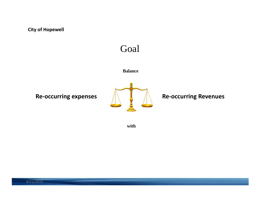# Goal

### **Balance**

**Re-occurring expenses ALCONG Re-occurring Revenues** 



**with**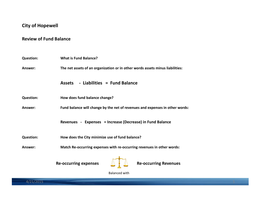### **Review of Fund Balance**

| <b>Question:</b> | <b>What is Fund Balance?</b>                                                  |  |  |  |  |  |  |  |  |  |
|------------------|-------------------------------------------------------------------------------|--|--|--|--|--|--|--|--|--|
| Answer:          | The net assets of an organization or in other words assets minus liabilities: |  |  |  |  |  |  |  |  |  |
|                  | - Liabilities = Fund Balance<br><b>Assets</b>                                 |  |  |  |  |  |  |  |  |  |
| <b>Question:</b> | How does fund balance change?                                                 |  |  |  |  |  |  |  |  |  |
| Answer:          | Fund balance will change by the net of revenues and expenses in other words:  |  |  |  |  |  |  |  |  |  |
|                  | Revenues - Expenses = Increase (Decrease) in Fund Balance                     |  |  |  |  |  |  |  |  |  |
| <b>Question:</b> | How does the City minimize use of fund balance?                               |  |  |  |  |  |  |  |  |  |
| Answer:          | Match Re-occurring expenses with re-occurring revenues in other words:        |  |  |  |  |  |  |  |  |  |
|                  | <b>Re-occurring expenses</b><br><b>Re-occurring Revenues</b>                  |  |  |  |  |  |  |  |  |  |

Balanced with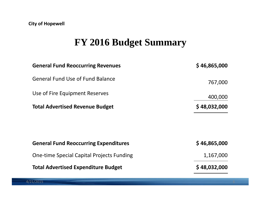# **FY 2016 Budget Summary**

| \$46,865,000 |
|--------------|
| 767,000      |
| 400,000      |
| \$48,032,000 |
| \$46,865,000 |
| 1,167,000    |
| \$48,032,000 |
|              |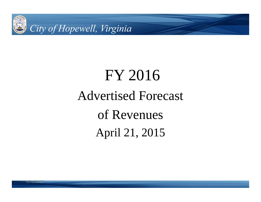

# FY 2016 Advertised Forecast of Revenues April 21, 2015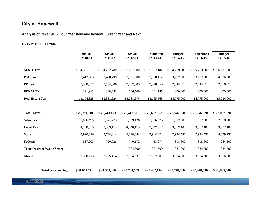**Analysis of Revenue ‐ Four Year Revenue Review, Current Year and Next**

#### **For FY 2011 thru FY 2016**

|                                  | <b>Actual</b><br>FY 10-11    | <b>Actual</b><br>FY 11-12               | Actual<br>FY 12-13            | <b>Un-audited</b><br>FY 13-14 | <b>Budget</b><br>FY 14-15    | <b>Projections</b><br>FY 14-15 | <b>Budget</b><br>FY 15-16    |
|----------------------------------|------------------------------|-----------------------------------------|-------------------------------|-------------------------------|------------------------------|--------------------------------|------------------------------|
| M & T Tax<br><b>PSC Tax</b>      | 4,381,352<br>\$<br>3,412,983 | 4,202,780<br><sup>\$</sup><br>3,420,799 | 5,797,880<br>\$.<br>3,391,300 | 5,962,182<br>\$<br>3,800,112  | 4,759,700<br>\$<br>3,797,000 | 5,259,700<br>\$.<br>3,797,000  | \$<br>6,081,000<br>4,026,000 |
| <b>PP</b> Tax<br><b>PENALTY</b>  | 2,598,537<br>291,913         | 2,184,808<br>308,682                    | 2,452,885<br>686,760          | 2,528,550<br>241,145          | 2,944,970<br>300,000         | 2,644,970<br>300,000           | 2,656,970<br>300,000         |
| <b>Real Estate Tax</b>           | 13,104,325                   | 13,331,624                              | 14,088,676                    | 14,165,663                    | 14,775,000                   | 14,775,000                     | 15,034,000                   |
| <b>Total Taxes</b>               | \$23,789,110                 | \$23,448,693                            | \$26,417,501                  | \$26,697,652                  | \$26,576,670                 | \$26,776,670                   | \$28,097,970                 |
| <b>Sales Tax</b>                 | 1,866,495                    | 1,921,273                               | 1,989,128                     | 1,706,676                     | 1,917,000                    | 1,917,000                      | 2,000,000                    |
| <b>Local Tax</b>                 | 4,208,055                    | 3,863,174                               | 4,040,173                     | 3,942,917                     | 3,952,100                    | 3,952,100                      | 3,892,100                    |
| <b>State</b>                     | 7,990,696                    | 7,734,814                               | 8,028,684                     | 7,944,224                     | 7,934,530                    | 7,934,530                      | 8,059,130                    |
| Federal                          | 517,203                      | 720,028                                 | 740,172                       | 418,274                       | 318,600                      | 318,600                        | 254,500                      |
| <b>Transfer from Waste/Sewer</b> |                              |                                         | 884,500                       | 884,500                       | 884,500                      | 884,500                        | 884,500                      |
| Misc \$                          | 3,300,213                    | 3,705,414                               | 3,664,837                     | 3,837,901                     | 3,694,600                    | 3,694,600                      | 3,676,800                    |
| <b>Total re-occurring</b>        | \$41,671,771                 | \$41,393,396                            | \$45,764,995                  | \$45,432,144                  | \$45,278,000                 | \$45,478,000                   | \$46,865,000                 |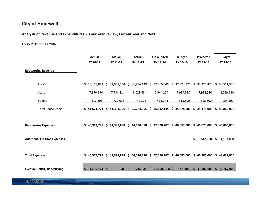**Analysis of Revenue and Expenditures ‐ Four Year Review, Current Year and Next**

**For FY 2011 thru FY 2016**

|                                     |          | Actual    | Actual                       | <b>Actual</b>                               | <b>Un-audited</b>      | <b>Budget</b>    |     | Projected        |     | <b>Budget</b>            |
|-------------------------------------|----------|-----------|------------------------------|---------------------------------------------|------------------------|------------------|-----|------------------|-----|--------------------------|
|                                     |          | FY 10-11  | FY 11-12                     | FY 12-13                                    | FY 13-14               | FY 14-15         |     | FY 14-15         |     | FY 15-16                 |
| <b>Reoccurring Revenue</b>          |          |           |                              |                                             |                        |                  |     |                  |     |                          |
| Local                               |          |           | \$33,163,872 \$32,938,554 \$ | 36,996,139                                  | \$37,069,646           | \$37,024,870     | \$  | 37,224,870 \$    |     | 38,551,370               |
| State                               |          | 7,990,696 | 7,734,814                    | 8,028,684                                   | 7,944,224              | 7,934,530        |     | 7,934,530        |     | 8,059,130                |
| Federal                             |          | 517,203   | 720,028                      | 740,172                                     | 418,274                | 318,600          |     | 318,600          |     | 254,500                  |
| <b>Total Reoccurring</b>            |          |           | $$41,671,771 \$41,393,396$   | \$45,764,995                                | \$45,432,144           | \$<br>45,278,000 | \$. | 45,478,000       |     | $\frac{1}{2}$ 46,865,000 |
| <b>Reoccurring Expenses</b>         |          |           |                              | $$40,374,798$$ $$41,392,838$$ $$44,030,350$ | \$47,090,207           | \$46,057,000     |     | \$46,073,000     |     | \$ 46,865,000            |
| <b>Additional On-time Expenses</b>  |          |           |                              |                                             |                        |                  | \$  | 812,000          | l\$ | 1,167,000                |
| <b>Total Expenses</b>               |          |           |                              | $$40,374,798$$ $$41,392,838$$ $$44,030,350$ | \$47,090,207           | \$46,057,000     | \$  | 46,885,000       |     | \$ 48,032,000            |
| <b>Excess/(Deficit) Reoccurring</b> | <b>S</b> | 1,296,973 | \$<br>558                    | 1,734,645                                   | \$<br>$(1,658,063)$ \$ | $(779,000)$ \$   |     | $(1,407,000)$ \$ |     | (1, 167, 000)            |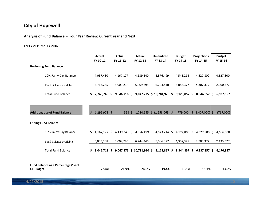**Analysis of Fund Balance ‐ Four Year Review, Current Year and Next**

#### **For FY 2011 thru FY 2016**

|                                                         |    | <b>Actual</b><br>FY 10-11 | Actual<br>FY 11-12 | <b>Actual</b><br>FY 12-13 | Un-audited<br>FY 13-14                    | <b>Budget</b><br>FY 14-15 | <b>Projections</b><br>FY 14-15  | <b>Budget</b><br>FY 15-16 |
|---------------------------------------------------------|----|---------------------------|--------------------|---------------------------|-------------------------------------------|---------------------------|---------------------------------|---------------------------|
| <b>Beginning Fund Balance</b>                           |    |                           |                    |                           |                                           |                           |                                 |                           |
| 10% Rainy Day Balance                                   |    | 4,037,480                 | 4,167,177          | 4,139,340                 | 4,576,499                                 | 4,543,214                 | 4,527,800                       | 4,527,800                 |
| Fund Balance available                                  |    | 3,712,265                 | 5,009,238          | 5,009,795                 | 6,744,440                                 | 5,086,377                 | 4,307,377                       | 2,900,377                 |
| <b>Total Fund Balance</b>                               | S. | 7,749,745 \$              | $9,046,718$ \$     |                           | 9,047,275 \$ 10,781,920 \$                | $9,123,857$ \$            | 8,344,857   \$                  | 6,937,857                 |
|                                                         |    |                           |                    |                           |                                           |                           |                                 |                           |
| <b>Addition/Use of Fund Balance</b>                     | Ŝ. | 1,296,973 \$              | 558S               |                           | $1,734,645 \div (1,658,063) \div$         |                           | $(779,000)$ \$ $(1,407,000)$ \$ | (767,000)                 |
| <b>Ending Fund Balance</b>                              |    |                           |                    |                           |                                           |                           |                                 |                           |
| 10% Rainy Day Balance                                   | \$ | $4,167,177$ \$            |                    | 4,139,340 \$ 4,576,499    | $4,543,214$ \$                            |                           | 4,527,800 \$ 4,527,800   \$     | 4,686,500                 |
| Fund Balance available                                  |    | 5,009,238                 | 5,009,795          | 6,744,440                 | 5,086,377                                 | 4,307,377                 | 2,900,377                       | 2,133,377                 |
| <b>Total Fund Balance</b>                               | S. | $9,046,718$ \$            |                    |                           | $9,047,275$ \$ 10,781,920 \$ 9,123,857 \$ | 8,344,857 \$              | $6,937,857$ $\frac{1}{5}$       | 6,170,857                 |
|                                                         |    |                           |                    |                           |                                           |                           |                                 |                           |
| Fund Balance as a Percentage (%) of<br><b>GF Budget</b> |    | 22.4%                     | 21.9%              | 24.5%                     | 19.4%                                     | 18.1%                     | 15.1%                           | 13.2%                     |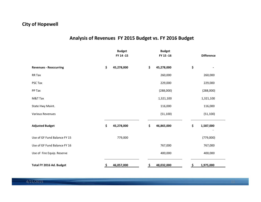## **Analysis of Revenues FY 2015 Budget vs. FY 2016 Budget**

|                               | <b>Budget</b><br>FY 14-15 | <b>Budget</b><br>FY 15-16 |           | <b>Difference</b> |
|-------------------------------|---------------------------|---------------------------|-----------|-------------------|
| <b>Revenues - Reoccurring</b> | \$<br>45,278,000          | \$<br>45,278,000          | \$        |                   |
| RR Tax                        |                           | 260,000                   |           | 260,000           |
| PSC Tax                       |                           | 229,000                   |           | 229,000           |
| PP Tax                        |                           | (288,000)                 |           | (288,000)         |
| M&T Tax                       |                           | 1,321,100                 |           | 1,321,100         |
| State Hwy Maint.              |                           | 116,000                   |           | 116,000           |
| <b>Various Revenues</b>       |                           | (51, 100)                 |           | (51, 100)         |
| <b>Adjusted Budget</b>        | \$<br>45,278,000          | \$<br>46,865,000          | \$        | 1,587,000         |
| Use of GF Fund Balance FY 15  | 779,000                   |                           |           | (779,000)         |
| Use of GF Fund Balance FY 16  |                           | 767,000                   |           | 767,000           |
| Use of Fire Equip. Reserve    |                           | 400,000                   |           | 400,000           |
| Total FY 2016 Ad. Budget      | \$<br>46,057,000          | \$<br>48,032,000          | <u>\$</u> | 1,975,000         |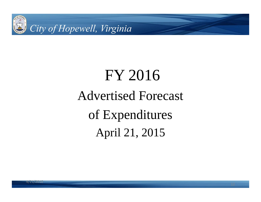

# FY 2016 Advertised Forecast of Expenditures April 21, 2015

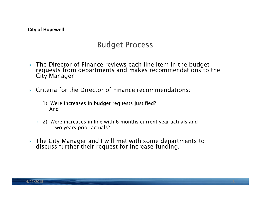# **Budget Process**

- ▶ The Director of Finance reviews each line item in the budget requests from departments and makes recommendations to the City Manager
- Criteria for the Director of Finance recommendations:
	- 1) Were increases in budget requests justified? And
	- 2) Were increases in line with 6 months current year actuals and two years prior actuals?
- The City Manager and I will met with some departments to discuss further their request for increase funding.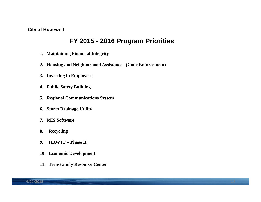## **FY 2015 - 2016 Program Priorities**

- **1. Maintaining Financial Integrity**
- **2. Housing and Neighborhood Assistance (Code Enforcement)**
- **3. Investing in Employees**
- **4. Public Safety Building**
- **5. Regional Communications System**
- **6. Storm Drainage Utility**
- **7. MIS Software**
- **8. Recycling**
- **9. HRWTF – Phase II**
- **10. Economic Development**
- **11. Teen/Family Resource Center**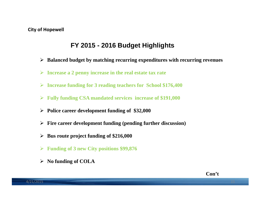# **FY 2015 - 2016 Budget Highlights**

- **Balanced budget by matching recurring expenditures with recurring revenues**
- **Increase a 2 penny increase in the real estate tax rate**
- **Increase funding for 3 reading teachers for School \$176,400**
- **Fully funding CSA mandated services increase of \$191,000**
- **Police career development funding of \$32,000**
- **Fire career development funding (pending further discussion)**
- **Bus route project funding of \$216,000**
- **Funding of 3 new City positions \$99,876**
- **No funding of COLA**

**Con't**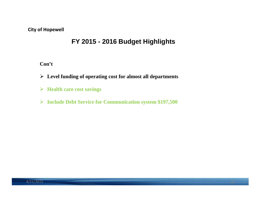# **FY 2015 - 2016 Budget Highlights**

**Con't**

- **Level funding of operating cost for almost all departments**
- **Health care cost savings**
- **Include Debt Service for Communication system \$197,500**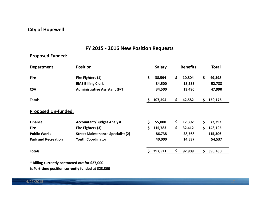## **FY 2015 ‐ 2016 New Position Requests**

## **Proposed Funded:**

| <b>Department</b>          | <b>Position</b>                          |    | <b>Salary</b> | <b>Benefits</b> |     | <b>Total</b> |
|----------------------------|------------------------------------------|----|---------------|-----------------|-----|--------------|
| <b>Fire</b>                | Fire Fighters (1)                        | \$ | 38,594        | \$<br>10,804    | \$  | 49,398       |
|                            | <b>EMS Billing Clerk</b>                 |    | 34,500        | 18,288          |     | 52,788       |
| <b>CSA</b>                 | <b>Administrative Assistant (F/T)</b>    |    | 34,500        | 13,490          |     | 47,990       |
| <b>Totals</b>              |                                          | S. | 107,594       | \$<br>42,582    | \$. | 150,176      |
| <b>Proposed Un-funded:</b> |                                          |    |               |                 |     |              |
| <b>Finance</b>             | <b>Accountant/Budget Analyst</b>         | \$ | 55,000        | \$<br>17,392    | \$  | 72,392       |
| <b>Fire</b>                | Fire Fighters (3)                        | \$ | 115,783       | \$<br>32,412    | \$  | 148,195      |
| <b>Public Works</b>        | <b>Street Maintenance Specialist (2)</b> |    | 86,738        | 28,568          |     | 115,306      |
| <b>Park and Recreation</b> | <b>Youth Coordinator</b>                 |    | 40,000        | 14,537          |     | 54,537       |
| <b>Totals</b>              |                                          |    | 297,521       | \$<br>92,909    | \$. | 390,430      |

**\* Billing currently contracted out for \$27,000**

**% Part‐time position currently funded at \$23,300**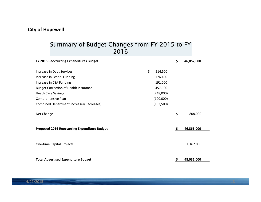## Summary of Budget Changes from FY 2015 to FY 2016

| FY 2015 Reoccurring Expenditures Budget      |               | \$ | 46,057,000 |
|----------------------------------------------|---------------|----|------------|
| Increase in Debt Services                    | \$<br>514,500 |    |            |
| Increase in School Funding                   | 176,400       |    |            |
| Increase in CSA Funding                      | 191,000       |    |            |
| <b>Budget Correction of Health Insurance</b> | 457,600       |    |            |
| <b>Heath Care Savings</b>                    | (248,000)     |    |            |
| Comprehensive Plan                           | (100,000)     |    |            |
| Combined Department Increase/(Decreases)     | (183, 500)    |    |            |
| Net Change                                   |               | \$ | 808,000    |
| Proposed 2016 Reoccurring Expenditure Budget |               |    | 46,865,000 |
|                                              |               |    |            |
| <b>One-time Capital Projects</b>             |               |    | 1,167,000  |
| <b>Total Advertised Expenditure Budget</b>   |               | Ş  | 48,032,000 |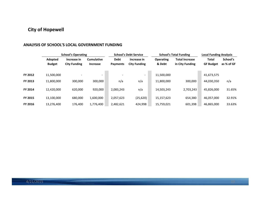#### **ANALYSIS OF SCHOOL'S LOCAL GOVERNMENT FUNDING**

|                | <b>School's Operating</b> |                          |                          |             | <b>School's Debt Service</b> |                  | <b>School's Total Funding</b> | <b>Local Funding Analysis</b> |            |  |  |
|----------------|---------------------------|--------------------------|--------------------------|-------------|------------------------------|------------------|-------------------------------|-------------------------------|------------|--|--|
|                | Adopted                   | Increase in              | <b>Cumulative</b>        | <b>Debt</b> | Increase in                  | <b>Operating</b> | <b>Total Increase</b>         | Total                         | School's   |  |  |
|                | <b>Budget</b>             | <b>City Funding</b>      | <b>Increase</b>          | Payments    | <b>City Funding</b>          | & Debt           | in City Funding               | <b>GF Budget</b>              | as % of GF |  |  |
|                |                           |                          |                          |             |                              |                  |                               |                               |            |  |  |
| FY 2012        | 11.500.000                | $\overline{\phantom{a}}$ | $\overline{\phantom{a}}$ |             | $\overline{\phantom{a}}$     | 11,500,000       |                               | 41,673,575                    |            |  |  |
| <b>FY 2013</b> | 11,800,000                | 300.000                  | 300,000                  | n/a         | n/a                          | 11,800,000       | 300,000                       | 44,030,350                    | n/a        |  |  |
| <b>FY 2014</b> | 12.420.000                | 620.000                  | 920.000                  | 2.083.243   | n/a                          | 14,503,243       | 2,703,243                     | 45.826.000                    | 31.65%     |  |  |
| <b>FY 2015</b> | 13,100,000                | 680,000                  | 1,600,000                | 2,057,623   | (25, 620)                    | 15,157,623       | 654,380                       | 46,057,000                    | 32.91%     |  |  |
| <b>FY 2016</b> | 13,276,400                | 176,400                  | 1,776,400                | 2,482,621   | 424,998                      | 15,759,021       | 601,398                       | 46,865,000                    | 33.63%     |  |  |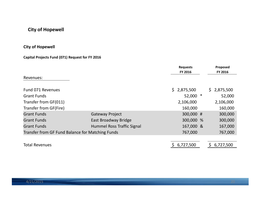## **City of Hopewell**

## **Capital Projects Fund (071) Request for FY 2016**

|                                                  |                            | <b>Requests</b><br>FY 2016 | Proposed<br>FY 2016 |
|--------------------------------------------------|----------------------------|----------------------------|---------------------|
| Revenues:                                        |                            |                            |                     |
| Fund 071 Revenues                                |                            | \$2,875,500                | 2,875,500<br>\$.    |
| <b>Grant Funds</b>                               |                            | 52,000                     | 52,000              |
| Transfer from GF(011)                            |                            | 2,106,000                  | 2,106,000           |
| Transfer from GF(Fire)                           |                            | 160,000                    | 160,000             |
| <b>Grant Funds</b>                               | <b>Gateway Project</b>     | 300,000 #                  | 300,000             |
| <b>Grant Funds</b>                               | East Broadway Bridge       | 300,000 %                  | 300,000             |
| <b>Grant Funds</b>                               | Hummel Ross Traffic Signal | 167,000 &                  | 167,000             |
| Transfer from GF Fund Balance for Matching Funds |                            | 767,000                    | 767,000             |
|                                                  |                            |                            |                     |
| <b>Total Revenues</b>                            |                            | 6,727,500                  | 6,727,500           |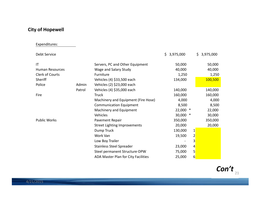### Expenditures:

| Debt Service           |        |                                     | \$.<br>3,975,000 | \$<br>3,975,000         |
|------------------------|--------|-------------------------------------|------------------|-------------------------|
| ΙT                     |        | Servers, PC and Other Equipment     | 50,000           | 50,000                  |
| <b>Human Resources</b> |        | Wage and Salary Study               | 40,000           | 40,000                  |
| Clerk of Courts        |        | Furniture                           | 1,250            | 1,250                   |
| Sheriff                |        | Vehicles (4) \$33,500 each          | 134,000          | 100,500                 |
| Police                 | Admin  | Vehicles (2) \$23,000 each          |                  |                         |
|                        | Patrol | Vehicles (4) \$35,000 each          | 140,000          | 140,000                 |
| Fire                   |        | <b>Truck</b>                        | 160,000          | 160,000                 |
|                        |        | Machinery and Equipment (Fire Hose) | 4,000            | 4,000                   |
|                        |        | <b>Communication Equipment</b>      | 8,500            | 8,500                   |
|                        |        | Machinery and Equipment             | 22,000<br>$\ast$ | 22,000                  |
|                        |        | Vehicles                            | 30,000<br>$\ast$ | 30,000                  |
| <b>Public Works</b>    |        | Pavement Repair                     | 350,000          | 350,000                 |
|                        |        | <b>Street Lighting Improvements</b> | 20,000           | 20,000                  |
|                        |        | Dump Truck                          | 130,000          | $\mathbf 1$             |
|                        |        | Work Van                            | 19,500           | $\overline{\mathbf{c}}$ |
|                        |        | Low Boy Trailer                     |                  | 3                       |
|                        |        | <b>Stainless Steel Spreader</b>     | 23,000           | 4                       |
|                        |        | Steel permanent Structure-DPW       | 75,000           | 5                       |
|                        |        | ADA Master Plan for City Facilities | 25,000           | 6                       |

21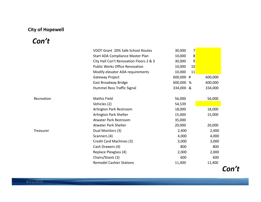# Con't

|            | VDOT Grant 20% Safe School Routes       | 30,000    | 7               |         |
|------------|-----------------------------------------|-----------|-----------------|---------|
|            | Start ADA Compliance Master Plan        | 10,000    | 8               |         |
|            | City Hall Con't Renovation Floors 2 & 3 | 30,000    | 9               |         |
|            | <b>Public Works Office Renovation</b>   | 10,000    | 10 <sub>l</sub> |         |
|            | Modify elevator ADA requirements        | 10,000    | 11              |         |
|            | Gateway Project                         | 600,000 # |                 | 600,000 |
|            | East Broadway Bridge                    | 600,000 % |                 | 600,000 |
|            | Hummel Ross Traffic Signal              | 334,000 & |                 | 334,000 |
|            |                                         |           |                 |         |
| Recreation | <b>Mathis Field</b>                     | 56,000    |                 | 56,000  |
|            | Vehicles (2)                            | 54,539    |                 |         |
|            | Arlington Park Restroom                 | 18,000    |                 | 18,000  |
|            | Arlington Park Shelter                  | 15,000    |                 | 15,000  |
|            | Atwater Park Restroom                   | 35,000    |                 |         |
|            | <b>Atwater Park Shelter</b>             | 20,000    |                 | 20,000  |
| Treasurer  | Dual Monitors (3)                       | 2,400     |                 | 2,400   |
|            | Scanners (4)                            | 4,000     |                 | 4,000   |
|            | Credit Card Machines (3)                | 3,000     |                 | 3,000   |
|            | Cash Drawers (4)                        | 800       |                 | 800     |
|            | Replace Plexglass (4)                   | 2,000     |                 | 2,000   |
|            | Chairs/Stools (3)                       | 600       |                 | 600     |
|            | <b>Remodel Cashier Stations</b>         | 11,400    |                 | 11,400  |

Con't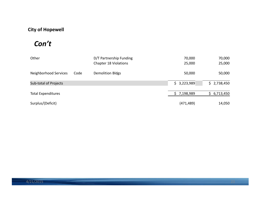# *Con't*

| Other                     |      | D/T Partnership Funding<br><b>Chapter 18 Violations</b> | 70,000<br>25,000 | 70,000<br>25,000 |
|---------------------------|------|---------------------------------------------------------|------------------|------------------|
| Neighborhood Services     | Code | <b>Demolition Bldgs</b>                                 | 50,000           | 50,000           |
| Sub-total of Projects     |      |                                                         | \$3,223,989      | \$2,738,450      |
| <b>Total Expenditures</b> |      |                                                         | 7,198,989        | 6,713,450<br>S.  |
| Surplus/(Deficit)         |      |                                                         | (471, 489)       | 14,050           |